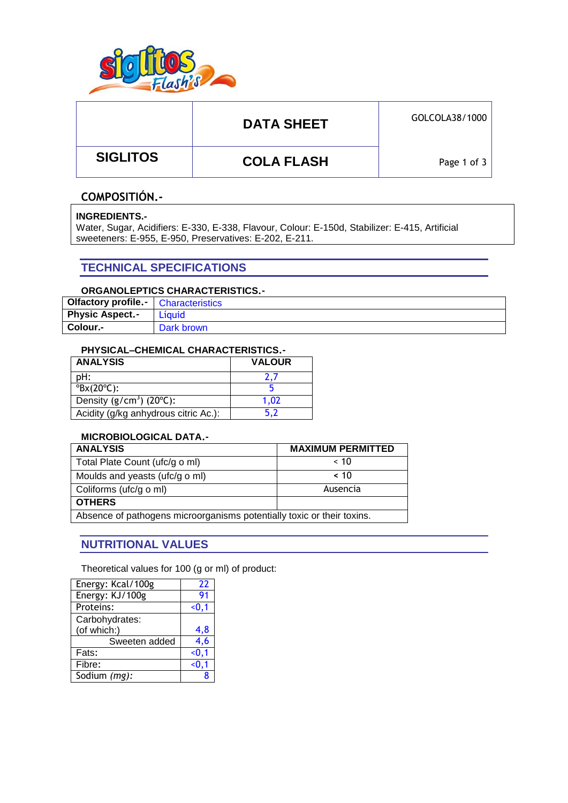

# **DATA SHEET** GOLCOLA38/1000

 **SIGLITOS COLA FLASH**

Page 1 of 3

### **COMPOSITIÓN.-**

#### **INGREDIENTS.-**

Water, Sugar, Acidifiers: E-330, E-338, Flavour, Colour: E-150d, Stabilizer: E-415, Artificial sweeteners: E-955, E-950, Preservatives: E-202, E-211.

### **TECHNICAL SPECIFICATIONS**

#### **ORGANOLEPTICS CHARACTERISTICS.-**

| <b>Olfactory profile.</b> Characteristics |            |
|-------------------------------------------|------------|
| <b>Physic Aspect.-</b>                    | Líauid     |
| Colour.-                                  | Dark brown |

#### **PHYSICAL–CHEMICAL CHARACTERISTICS.-**

| <b>ANALYSIS</b>                      | <b>VALOUR</b> |  |  |
|--------------------------------------|---------------|--|--|
| pH:                                  |               |  |  |
| $\mathrm{^oBx}(20\mathrm{^oC})$ :    |               |  |  |
| Density $(g/cm3)$ (20°C):            | 1.02          |  |  |
| Acidity (g/kg anhydrous citric Ac.): | 5.2           |  |  |

#### **MICROBIOLOGICAL DATA.-**

| <b>ANALYSIS</b>                                                        | <b>MAXIMUM PERMITTED</b> |  |  |
|------------------------------------------------------------------------|--------------------------|--|--|
| Total Plate Count (ufc/g o ml)                                         | ~< 10                    |  |  |
| Moulds and yeasts (ufc/g o ml)                                         | ~< 10                    |  |  |
| Coliforms (ufc/g o ml)                                                 | Ausencia                 |  |  |
| <b>OTHERS</b>                                                          |                          |  |  |
| Absence of pathogens microorganisms potentially toxic or their toxins. |                          |  |  |

### **NUTRITIONAL VALUES**

Theoretical values for 100 (g or ml) of product:

| Energy: Kcal/100g | 22     |
|-------------------|--------|
| Energy: KJ/100g   | 91     |
| Proteins:         | $0.1$  |
| Carbohydrates:    |        |
| (of which:)       | 4.8    |
| Sweeten added     | 4,6    |
| Fats:             | < 0, 1 |
| Fibre:            | < 0, 1 |
| Sodium (mg):      |        |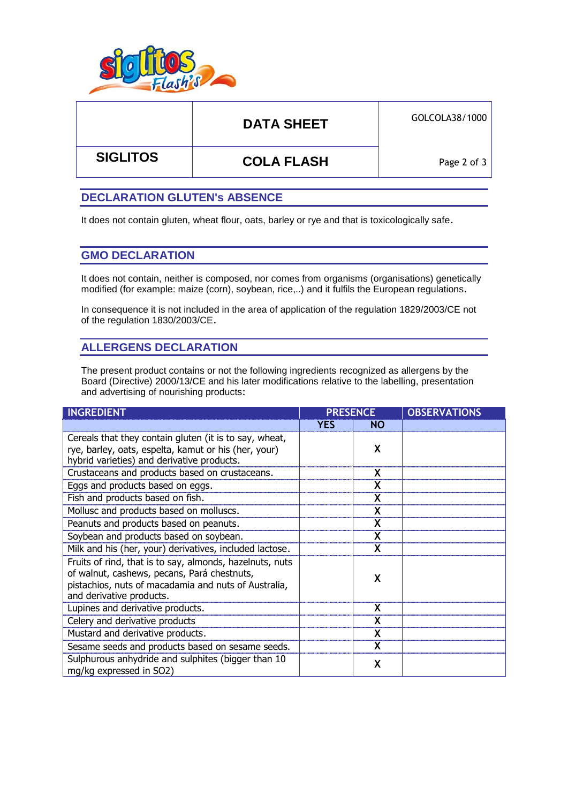

# **DATA SHEET GOLCOLA38/1000**

 **SIGLITOS COLA FLASH**

Page 2 of 3

### **DECLARATION GLUTEN's ABSENCE**

It does not contain gluten, wheat flour, oats, barley or rye and that is toxicologically safe.

#### **GMO DECLARATION**

It does not contain, neither is composed, nor comes from organisms (organisations) genetically modified (for example: maize (corn), soybean, rice,..) and it fulfils the European regulations.

In consequence it is not included in the area of application of the regulation 1829/2003/CE not of the regulation 1830/2003/CE.

### **ALLERGENS DECLARATION**

The present product contains or not the following ingredients recognized as allergens by the Board (Directive) 2000/13/CE and his later modifications relative to the labelling, presentation and advertising of nourishing products:

| <b>INGREDIENT</b>                                                                                                                                                                           | <b>PRESENCE</b> |           | <b>OBSERVATIONS</b> |  |
|---------------------------------------------------------------------------------------------------------------------------------------------------------------------------------------------|-----------------|-----------|---------------------|--|
|                                                                                                                                                                                             | <b>YES</b>      | <b>NO</b> |                     |  |
| Cereals that they contain gluten (it is to say, wheat,<br>rye, barley, oats, espelta, kamut or his (her, your)<br>hybrid varieties) and derivative products.                                |                 | X         |                     |  |
| Crustaceans and products based on crustaceans.                                                                                                                                              |                 | X         |                     |  |
| Eggs and products based on eggs.                                                                                                                                                            |                 | X         |                     |  |
| Fish and products based on fish.                                                                                                                                                            |                 |           |                     |  |
| Mollusc and products based on molluscs.                                                                                                                                                     |                 | X         |                     |  |
| Peanuts and products based on peanuts.                                                                                                                                                      |                 | X         |                     |  |
| Soybean and products based on soybean.                                                                                                                                                      |                 | X         |                     |  |
| Milk and his (her, your) derivatives, included lactose.                                                                                                                                     |                 |           |                     |  |
| Fruits of rind, that is to say, almonds, hazelnuts, nuts<br>of walnut, cashews, pecans, Pará chestnuts,<br>pistachios, nuts of macadamia and nuts of Australia,<br>and derivative products. |                 | χ         |                     |  |
| Lupines and derivative products.                                                                                                                                                            |                 | X         |                     |  |
| Celery and derivative products                                                                                                                                                              |                 |           |                     |  |
| Mustard and derivative products.                                                                                                                                                            |                 |           |                     |  |
| Sesame seeds and products based on sesame seeds.                                                                                                                                            |                 | X         |                     |  |
| Sulphurous anhydride and sulphites (bigger than 10<br>mg/kg expressed in SO2)                                                                                                               |                 | X         |                     |  |